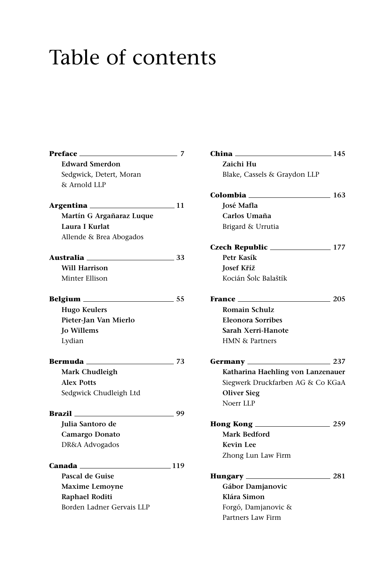## Table of contents

| Preface                   | 7    |
|---------------------------|------|
| <b>Edward Smerdon</b>     |      |
| Sedgwick, Detert, Moran   |      |
| & Arnold LLP              |      |
| Argentina <sub>———</sub>  | . 11 |
| Martín G Argañaraz Luque  |      |
| Laura I Kurlat            |      |
| Allende & Brea Abogados   |      |
| Australia <sub>——</sub>   | 33   |
| Will Harrison             |      |
| Minter Ellison            |      |
|                           | 55   |
| <b>Hugo Keulers</b>       |      |
| Pieter-Jan Van Mierlo     |      |
| <b>Jo Willems</b>         |      |
| Lydian                    |      |
| Bermuda __                | 73   |
| Mark Chudleigh            |      |
| <b>Alex Potts</b>         |      |
| Sedgwick Chudleigh Ltd    |      |
| Brazil                    | 99   |
| Julia Santoro de          |      |
| Camargo Donato            |      |
| DR&A Advogados            |      |
| Canada                    | 119  |
| Pascal de Guise           |      |
| <b>Maxime Lemoyne</b>     |      |
| Raphael Roditi            |      |
| Borden Ladner Gervais LLP |      |

| China __                             | 145        |
|--------------------------------------|------------|
| Zaichi Hu                            |            |
| Blake, Cassels & Graydon LLP         |            |
| Colombia <sub>——</sub><br>$\sim$ 163 |            |
| José Mafla                           |            |
| Carlos Umaña                         |            |
| Brigard & Urrutia                    |            |
| Czech Republic ______                | 177        |
| Petr Kasík                           |            |
| <b>Josef Kříž</b>                    |            |
| Kocián Šolc Balaštík                 |            |
| France ___                           | 205        |
| <b>Romain Schulz</b>                 |            |
| <b>Eleonora Sorribes</b>             |            |
| Sarah Xerri-Hanote                   |            |
| <b>HMN &amp; Partners</b>            |            |
| Germany _____                        | $\sim 237$ |
| Katharina Haehling von Lanzenauer    |            |
| Siegwerk Druckfarben AG & Co KGaA    |            |
| Oliver Sieg                          |            |
| Noerr LLP                            |            |
| Hong Kong __                         | $\sim$ 259 |
| <b>Mark Bedford</b>                  |            |
| <b>Kevin Lee</b>                     |            |
| Zhong Lun Law Firm                   |            |
| Hungary _____                        | 281        |
| Gábor Damjanovic                     |            |
| Klára Simon                          |            |
| Forgó, Damjanovic &                  |            |
| Partners Law Firm                    |            |
|                                      |            |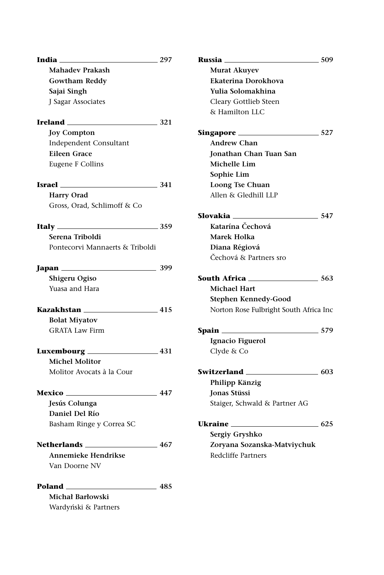|                                         | 297    | Russia _______                         | 509 |
|-----------------------------------------|--------|----------------------------------------|-----|
| <b>Mahadev Prakash</b>                  |        | Murat Akuyev                           |     |
| <b>Gowtham Reddy</b>                    |        | Ekaterina Dorokhova                    |     |
| Sajai Singh                             |        | Yulia Solomakhina                      |     |
| J Sagar Associates                      |        | Cleary Gottlieb Steen                  |     |
|                                         |        | & Hamilton LLC                         |     |
| $I$ reland $\frac{1}{2}$ 321            |        |                                        |     |
| <b>Joy Compton</b>                      |        |                                        |     |
| Independent Consultant                  |        | <b>Andrew Chan</b>                     |     |
| <b>Eileen Grace</b>                     |        | Jonathan Chan Tuan San                 |     |
| Eugene F Collins                        |        | Michelle Lim                           |     |
|                                         |        | Sophie Lim                             |     |
| $\text{Israel} \quad \text{341}$        |        | Loong Tse Chuan                        |     |
| Harry Orad                              |        | Allen & Gledhill LLP                   |     |
| Gross, Orad, Schlimoff & Co             |        |                                        |     |
|                                         |        | $\sim$ 547                             |     |
|                                         |        | Katarína Čechová                       |     |
| Serena Triboldi                         |        | Marek Holka                            |     |
| Pontecorvi Mannaerts & Triboldi         |        | Diana Régiová                          |     |
|                                         |        | Čechová & Partners sro                 |     |
| $\sim$ 399<br>Japan $\_\_\_\_\_\_\_\_\$ |        |                                        |     |
| Shigeru Ogiso                           |        | <b>South Africa</b> 2008/06/2012 2013  |     |
| Yuasa and Hara                          |        | <b>Michael Hart</b>                    |     |
|                                         |        | Stephen Kennedy-Good                   |     |
| <b>Kazakhstan</b> 115                   |        | Norton Rose Fulbright South Africa Inc |     |
| <b>Bolat Miyatov</b>                    |        |                                        |     |
| <b>GRATA Law Firm</b>                   |        |                                        |     |
|                                         |        | Ignacio Figuerol                       |     |
|                                         |        | Clyde & Co                             |     |
| <b>Michel Molitor</b>                   |        |                                        |     |
| Molitor Avocats à la Cour               |        |                                        |     |
|                                         |        | Philipp Känzig                         |     |
|                                         |        | <b>Ionas Stüssi</b>                    |     |
| Jesús Colunga                           |        | Staiger, Schwald & Partner AG          |     |
| Daniel Del Río                          |        |                                        |     |
| Basham Ringe y Correa SC                |        |                                        |     |
|                                         |        | Sergiy Gryshko                         |     |
| Netherlands_                            | $-467$ | Zoryana Sozanska-Matviychuk            |     |
| Annemieke Hendrikse                     |        | Redcliffe Partners                     |     |
| Van Doorne NV                           |        |                                        |     |
| <b>Poland</b> 485                       |        |                                        |     |
| Michał Barłowski                        |        |                                        |     |
| Wardyński & Partners                    |        |                                        |     |
|                                         |        |                                        |     |